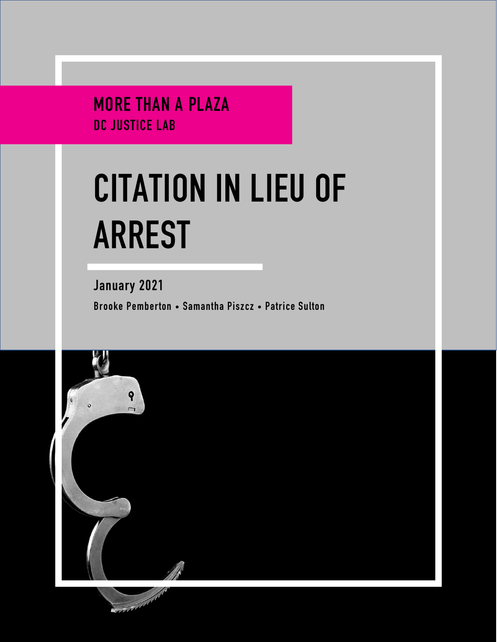MORE THAN A PLAZA DC JUSTICE LAB

# **CITATION IN LIEU OF ARREST**

January 2021 Brooke Pemberton • Samantha Piszcz • Patrice Sulton

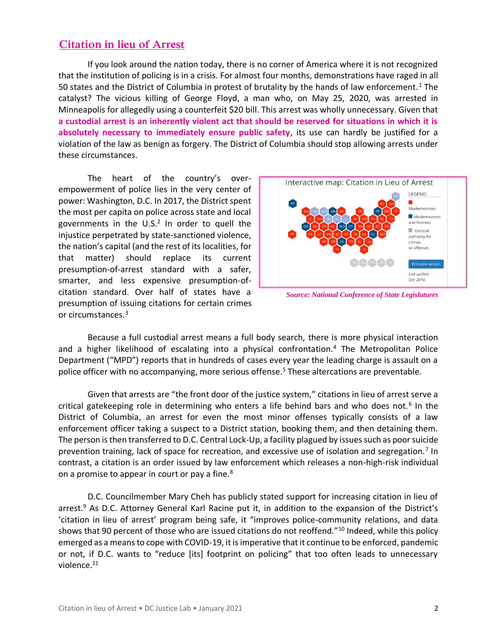## **Citation in lieu of Arrest**

If you look around the nation today, there is no corner of America where it is not recognized that the institution of policing is in a crisis. For almost four months, demonstrations have raged in all 50 states and the District of Columbia in protest of brutality by the hands of law enforcement. <sup>1</sup> The catalyst? The vicious killing of George Floyd, a man who, on May 25, 2020, was arrested in Minneapolis for allegedly using a counterfeit \$20 bill. This arrest was wholly unnecessary. Given that **a custodial arrest is an inherently violent act that should be reserved for situations in which it is absolutely necessary to immediately ensure public safety**, its use can hardly be justified for a violation of the law as benign as forgery. The District of Columbia should stop allowing arrests under these circumstances.

The heart of the country's overempowerment of police lies in the very center of power: Washington, D.C. In 2017, the District spent the most per capita on police across state and local governments in the  $U.S.^2$  In order to quell the injustice perpetrated by state-sanctioned violence, the nation's capital (and the rest of its localities, for that matter) should replace its current presumption-of-arrest standard with a safer, smarter, and less expensive presumption-ofcitation standard. Over half of states have a presumption of issuing citations for certain crimes or circumstances. 3



*Source: National Conference of State Legislatures*

Because a full custodial arrest means a full body search, there is more physical interaction and a higher likelihood of escalating into a physical confrontation.<sup>4</sup> The Metropolitan Police Department ("MPD") reports that in hundreds of cases every year the leading charge is assault on a police officer with no accompanying, more serious offense. <sup>5</sup> These altercations are preventable.

Given that arrests are "the front door of the justice system," citations in lieu of arrest serve a critical gatekeeping role in determining who enters a life behind bars and who does not.<sup>6</sup> In the District of Columbia, an arrest for even the most minor offenses typically consists of a law enforcement officer taking a suspect to a District station, booking them, and then detaining them. The person is then transferred to D.C. Central Lock-Up, a facility plagued by issuessuch as poor suicide prevention training, lack of space for recreation, and excessive use of isolation and segregation.<sup>7</sup> In contrast, a citation is an order issued by law enforcement which releases a non-high-risk individual on a promise to appear in court or pay a fine.<sup>8</sup>

D.C. Councilmember Mary Cheh has publicly stated support for increasing citation in lieu of arrest.<sup>9</sup> As D.C. Attorney General Karl Racine put it, in addition to the expansion of the District's 'citation in lieu of arrest' program being safe, it "improves police-community relations, and data shows that 90 percent of those who are issued citations do not reoffend."<sup>10</sup> Indeed, while this policy emerged as a means to cope with COVID-19, it is imperative that it continue to be enforced, pandemic or not, if D.C. wants to "reduce [its] footprint on policing" that too often leads to unnecessary violence.<sup>11</sup>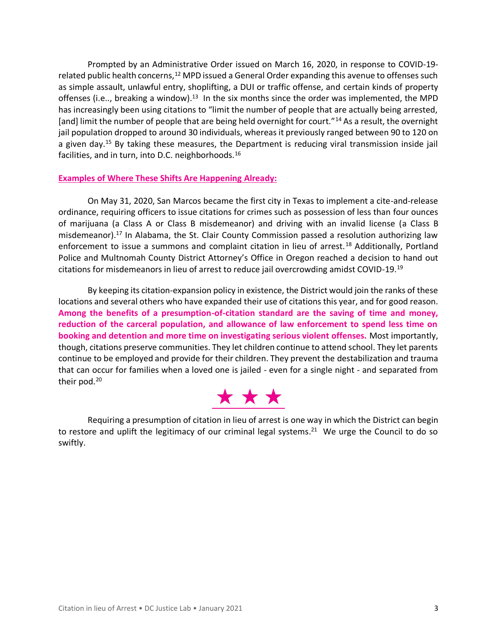Prompted by an Administrative Order issued on March 16, 2020, in response to COVID-19 related public health concerns,<sup>12</sup> MPD issued a General Order expanding this avenue to offenses such as simple assault, unlawful entry, shoplifting, a DUI or traffic offense, and certain kinds of property offenses (i.e.., breaking a window).<sup>13</sup> In the six months since the order was implemented, the MPD has increasingly been using citations to "limit the number of people that are actually being arrested, [and] limit the number of people that are being held overnight for court."<sup>14</sup> As a result, the overnight jail population dropped to around 30 individuals, whereas it previously ranged between 90 to 120 on a given day.<sup>15</sup> By taking these measures, the Department is reducing viral transmission inside jail facilities, and in turn, into D.C. neighborhoods.<sup>16</sup>

### **Examples of Where These Shifts Are Happening Already:**

On May 31, 2020, San Marcos became the first city in Texas to implement a cite-and-release ordinance, requiring officers to issue citations for crimes such as possession of less than four ounces of marijuana (a Class A or Class B misdemeanor) and driving with an invalid license (a Class B misdemeanor).<sup>17</sup> In Alabama, the St. Clair County Commission passed a resolution authorizing law enforcement to issue a summons and complaint citation in lieu of arrest.<sup>18</sup> Additionally, Portland Police and Multnomah County District Attorney's Office in Oregon reached a decision to hand out citations for misdemeanors in lieu of arrest to reduce jail overcrowding amidst COVID-19.<sup>19</sup>

By keeping its citation-expansion policy in existence, the District would join the ranks of these locations and several others who have expanded their use of citations this year, and for good reason. **Among the benefits of a presumption-of-citation standard are the saving of time and money, reduction of the carceral population, and allowance of law enforcement to spend less time on booking and detention and more time on investigating serious violent offenses.** Most importantly, though, citations preserve communities. They let children continue to attend school. They let parents continue to be employed and provide for their children. They prevent the destabilization and trauma that can occur for families when a loved one is jailed - even for a single night - and separated from their pod. 20



Requiring a presumption of citation in lieu of arrest is one way in which the District can begin to restore and uplift the legitimacy of our criminal legal systems.<sup>21</sup> We urge the Council to do so swiftly.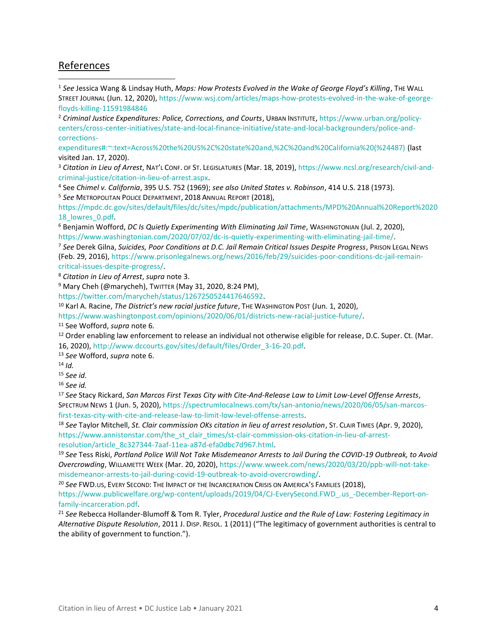## References

<sup>1</sup> *See* Jessica Wang & Lindsay Huth, *Maps: How Protests Evolved in the Wake of George Floyd's Killing*, THE WALL STREET JOURNAL (Jun. 12, 2020), [https://www.wsj.com/articles/maps-how-protests-evolved-in-the-wake-of-george](https://www.wsj.com/articles/maps-how-protests-evolved-in-the-wake-of-george-floyds-killing-11591984846)[floyds-killing-11591984846](https://www.wsj.com/articles/maps-how-protests-evolved-in-the-wake-of-george-floyds-killing-11591984846)

<sup>2</sup> *Criminal Justice Expenditures: Police, Corrections, and Courts*, URBAN INSTITUTE, [https://www.urban.org/policy](https://www.urban.org/policy-centers/cross-center-initiatives/state-and-local-finance-initiative/state-and-local-backgrounders/police-and-corrections-expenditures#:~:text=Across%20the%20US%2C%20state%20and,%2C%20and%20California%20(%24487))[centers/cross-center-initiatives/state-and-local-finance-initiative/state-and-local-backgrounders/police-and](https://www.urban.org/policy-centers/cross-center-initiatives/state-and-local-finance-initiative/state-and-local-backgrounders/police-and-corrections-expenditures#:~:text=Across%20the%20US%2C%20state%20and,%2C%20and%20California%20(%24487))[corrections-](https://www.urban.org/policy-centers/cross-center-initiatives/state-and-local-finance-initiative/state-and-local-backgrounders/police-and-corrections-expenditures#:~:text=Across%20the%20US%2C%20state%20and,%2C%20and%20California%20(%24487))

[expenditures#:~:text=Across%20the%20US%2C%20state%20and,%2C%20and%20California%20\(%24487\)](https://www.urban.org/policy-centers/cross-center-initiatives/state-and-local-finance-initiative/state-and-local-backgrounders/police-and-corrections-expenditures#:~:text=Across%20the%20US%2C%20state%20and,%2C%20and%20California%20(%24487)) (last visited Jan. 17, 2020).

<sup>3</sup> *Citation in Lieu of Arrest*, NAT'L CONF. OF ST. LEGISLATURES (Mar. 18, 2019), [https://www.ncsl.org/research/civil-and](/Users/michaelswistara%201/Downloads/%20https:/www.ncsl.org/research/civil-and-criminal-justice/citation-in-lieu-of-arrest.aspx)[criminal-justice/citation-in-lieu-of-arrest.aspx.](/Users/michaelswistara%201/Downloads/%20https:/www.ncsl.org/research/civil-and-criminal-justice/citation-in-lieu-of-arrest.aspx)

<sup>4</sup> See *Chimel v. California*, 395 U.S. 752 (1969); *see also United States v. Robinson*, 414 U.S. 218 (1973). <sup>5</sup> *See* METROPOLITAN POLICE DEPARTMENT, 2018 ANNUAL REPORT (2018),

[https://mpdc.dc.gov/sites/default/files/dc/sites/mpdc/publication/attachments/MPD%20Annual%20Report%2020](https://mpdc.dc.gov/sites/default/files/dc/sites/mpdc/publication/attachments/MPD%20Annual%20Report%202018_lowres_0.pdf) 18 lowres 0.pdf.

<sup>6</sup> Benjamin Wofford, *DC Is Quietly Experimenting With Eliminating Jail Time*, WASHINGTONIAN (Jul. 2, 2020), [https://www.washingtonian.com/2020/07/02/dc-is-quietly-experimenting-with-eliminating-jail-time/.](https://www.washingtonian.com/2020/07/02/dc-is-quietly-experimenting-with-eliminating-jail-time/)

<sup>7</sup> *See* Derek Gilna, *Suicides, Poor Conditions at D.C. Jail Remain Critical Issues Despite Progress*, PRISON LEGAL NEWS (Feb. 29, 2016), [https://www.prisonlegalnews.org/news/2016/feb/29/suicides-poor-conditions-dc-jail-remain](https://www.prisonlegalnews.org/news/2016/feb/29/suicides-poor-conditions-dc-jail-remain-critical-issues-despite-progress/)[critical-issues-despite-progress/.](https://www.prisonlegalnews.org/news/2016/feb/29/suicides-poor-conditions-dc-jail-remain-critical-issues-despite-progress/)

<sup>8</sup> *Citation in Lieu of Arrest*, *supra* note 3.

<sup>9</sup> Mary Cheh (@marycheh), TWITTER (May 31, 2020, 8:24 PM),

https://twitter.com/marycheh/status/1267250524417646592.

<sup>10</sup> Karl A. Racine, *The District's new racial justice future*, THE WASHINGTON POST (Jun. 1, 2020),

[https://www.washingtonpost.com/opinions/2020/06/01/districts-new-racial-justice-future/.](https://www.washingtonpost.com/opinions/2020/06/01/districts-new-racial-justice-future/)

<sup>11</sup> See Wofford, *supra* note 6.

<sup>12</sup> Order enabling law enforcement to release an individual not otherwise eligible for release, D.C. Super. Ct. (Mar. 16, 2020), [http://www.dccourts.gov/sites/default/files/Order\\_3-16-20.pdf.](http://www.dccourts.gov/sites/default/files/Order_3-16-20.pdf)

<sup>13</sup> *See* Wofford, *supra* note 6.

<sup>14</sup> *Id.*

<sup>15</sup> *See id.*

<sup>16</sup> *See id.*

<sup>17</sup> *See* Stacy Rickard, *San Marcos First Texas City with Cite-And-Release Law to Limit Low-Level Offense Arrests*, SPECTRUM NEWS 1 (Jun. 5, 2020), [https://spectrumlocalnews.com/tx/san-antonio/news/2020/06/05/san-marcos](https://spectrumlocalnews.com/tx/san-antonio/news/2020/06/05/san-marcos-first-texas-city-with-cite-and-release-law-to-limit-low-level-offense-arrests)[first-texas-city-with-cite-and-release-law-to-limit-low-level-offense-arrests.](https://spectrumlocalnews.com/tx/san-antonio/news/2020/06/05/san-marcos-first-texas-city-with-cite-and-release-law-to-limit-low-level-offense-arrests)

<sup>18</sup> *See* Taylor Mitchell, *St. Clair commission OKs citation in lieu of arrest resolution*, ST. CLAIR TIMES (Apr. 9, 2020), [https://www.annistonstar.com/the\\_st\\_clair\\_times/st-clair-commission-oks-citation-in-lieu-of-arrest](https://www.annistonstar.com/the_st_clair_times/st-clair-commission-oks-citation-in-lieu-of-arrest-resolution/article_8c327344-7aaf-11ea-a87d-efa0dbc7d967.html)[resolution/article\\_8c327344-7aaf-11ea-a87d-efa0dbc7d967.html.](https://www.annistonstar.com/the_st_clair_times/st-clair-commission-oks-citation-in-lieu-of-arrest-resolution/article_8c327344-7aaf-11ea-a87d-efa0dbc7d967.html)

<sup>19</sup> *See* Tess Riski, *Portland Police Will Not Take Misdemeanor Arrests to Jail During the COVID-19 Outbreak, to Avoid Overcrowding*, WILLAMETTE WEEK (Mar. 20, 2020), [https://www.wweek.com/news/2020/03/20/ppb-will-not-take](https://www.wweek.com/news/2020/03/20/ppb-will-not-take-misdemeanor-arrests-to-jail-during-covid-19-outbreak-to-avoid-overcrowding/)[misdemeanor-arrests-to-jail-during-covid-19-outbreak-to-avoid-overcrowding/.](https://www.wweek.com/news/2020/03/20/ppb-will-not-take-misdemeanor-arrests-to-jail-during-covid-19-outbreak-to-avoid-overcrowding/)

<sup>20</sup> *See* FWD.US, EVERY SECOND: THE IMPACT OF THE INCARCERATION CRISIS ON AMERICA'S FAMILIES (2018),

https://www.publicwelfare.org/wp-content/uploads/2019/04/CJ-EverySecond.FWD\_.us\_-December-Report-onfamily-incarceration.pdf.

<sup>21</sup> *See* Rebecca Hollander-Blumoff & Tom R. Tyler, *Procedural Justice and the Rule of Law: Fostering Legitimacy in Alternative Dispute Resolution*, 2011 J. DISP. RESOL. 1 (2011) ("The legitimacy of government authorities is central to the ability of government to function.").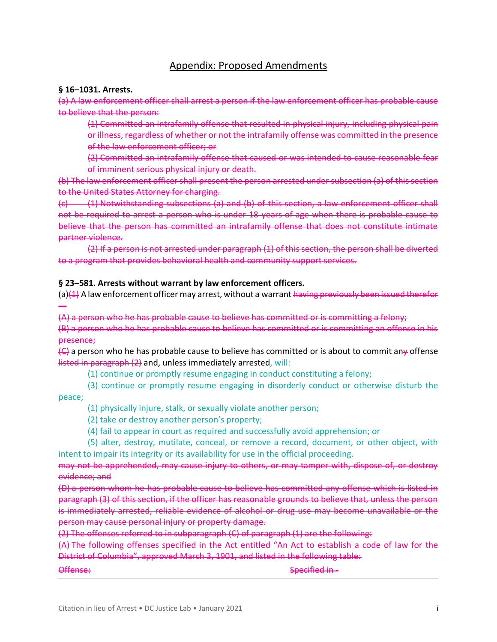## Appendix: Proposed Amendments

### **§ 16–1031. Arrests.**

(a) A law enforcement officer shall arrest a person if the law enforcement officer has probable cause to believe that the person:

(1) Committed an intrafamily offense that resulted in physical injury, including physical pain or illness, regardless of whether or not the intrafamily offense was committed in the presence of the law enforcement officer; or

(2) Committed an intrafamily offense that caused or was intended to cause reasonable fear of imminent serious physical injury or death.

(b) The law enforcement officer shall present the person arrested under subsection (a) of this section to the United States Attorney for charging.

 $(c)$  (1) Notwithstanding subsections (a) and (b) of this section, a law enforcement officer shall not be required to arrest a person who is under 18 years of age when there is probable cause to believe that the person has committed an intrafamily offense that does not constitute intimate partner violence.

(2) If a person is not arrested under paragraph (1) of this section, the person shall be diverted to a program that provides behavioral health and community support services.

### **§ 23–581. Arrests without warrant by law enforcement officers.**

(a) $(1)$  A law enforcement officer may arrest, without a warrant having previously been issued therefor

(A) a person who he has probable cause to believe has committed or is committing a felony; (B) a person who he has probable cause to believe has committed or is committing an offense in his presence;

 $\left\langle \epsilon \right\rangle$  a person who he has probable cause to believe has committed or is about to commit any offense listed in paragraph (2) and, unless immediately arrested, will:

(1) continue or promptly resume engaging in conduct constituting a felony;

(3) continue or promptly resume engaging in disorderly conduct or otherwise disturb the peace;

(1) physically injure, stalk, or sexually violate another person;

(2) take or destroy another person's property;

(4) fail to appear in court as required and successfully avoid apprehension; or

(5) alter, destroy, mutilate, conceal, or remove a record, document, or other object, with intent to impair its integrity or its availability for use in the official proceeding.

may not be apprehended, may cause injury to others, or may tamper with, dispose of, or destroy evidence; and

(D) a person whom he has probable cause to believe has committed any offense which is listed in paragraph (3) of this section, if the officer has reasonable grounds to believe that, unless the person is immediately arrested, reliable evidence of alcohol or drug use may become unavailable or the person may cause personal injury or property damage.

(2) The offenses referred to in subparagraph (C) of paragraph (1) are the following:

(A) The following offenses specified in the Act entitled "An Act to establish a code of law for the District of Columbia", approved March 3, 1901, and listed in the following table:

—

Offense: Specified in -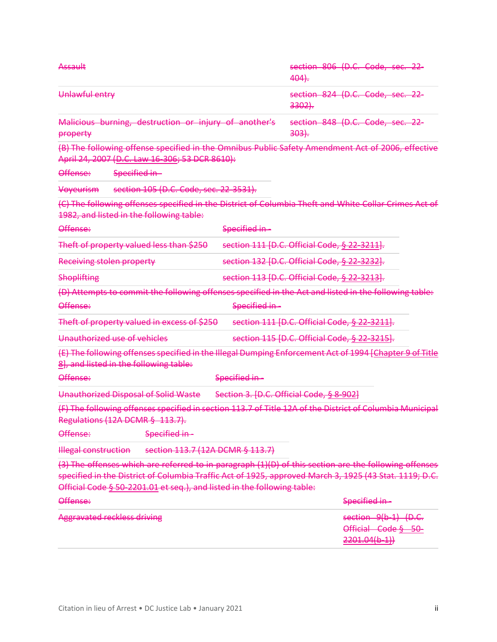| Assault                                                                                                                                                                                                                                                                                    |               | section 806 (D.C. Code, sec. 22-<br>404.                      |
|--------------------------------------------------------------------------------------------------------------------------------------------------------------------------------------------------------------------------------------------------------------------------------------------|---------------|---------------------------------------------------------------|
| Unlawful entry                                                                                                                                                                                                                                                                             |               | section 824 (D.C. Code, sec. 22-<br>$3302$ .                  |
| Malicious burning, destruction or injury of another's<br>property                                                                                                                                                                                                                          |               | section 848 (D.C. Code, sec. 22-<br>303.                      |
| (B) The following offense specified in the Omnibus Public Safety Amendment Act of 2006, effective<br>April 24, 2007 (D.C. Law 16-306; 53 DCR 8610):                                                                                                                                        |               |                                                               |
| Offense:<br>Specified in-                                                                                                                                                                                                                                                                  |               |                                                               |
| section 105 (D.C. Code, sec. 22-3531).<br>Voyeurism                                                                                                                                                                                                                                        |               |                                                               |
| (C) The following offenses specified in the District of Columbia Theft and White Collar Crimes Act of<br>1982, and listed in the following table:                                                                                                                                          |               |                                                               |
| Offense:                                                                                                                                                                                                                                                                                   | Specified in- |                                                               |
| Theft of property valued less than \$250                                                                                                                                                                                                                                                   |               | section 111 [D.C. Official Code, § 22-3211].                  |
| <b>Receiving stolen property</b>                                                                                                                                                                                                                                                           |               | section 132 [D.C. Official Code, § 22-3232].                  |
| <b>Shoplifting</b>                                                                                                                                                                                                                                                                         |               | section 113 [D.C. Official Code, § 22-3213].                  |
| (D) Attempts to commit the following offenses specified in the Act and listed in the following table:                                                                                                                                                                                      |               |                                                               |
| Offense:                                                                                                                                                                                                                                                                                   | Specified in- |                                                               |
| Theft of property valued in excess of \$250                                                                                                                                                                                                                                                |               | section 111 [D.C. Official Code, § 22-3211].                  |
| Unauthorized use of vehicles                                                                                                                                                                                                                                                               |               | section 115 [D.C. Official Code, § 22-3215].                  |
| (E) The following offenses specified in the Illegal Dumping Enforcement Act of 1994 [Chapter 9 of Title<br>8], and listed in the following table:                                                                                                                                          |               |                                                               |
| Offense:                                                                                                                                                                                                                                                                                   | Specified in- |                                                               |
| Unauthorized Disposal of Solid Waste                                                                                                                                                                                                                                                       |               | Section 3. [D.C. Official Code, § 8-902]                      |
| (F) The following offenses specified in section 113.7 of Title 12A of the District of Columbia Municipal<br>Regulations (12A DCMR § 113.7).                                                                                                                                                |               |                                                               |
| Offense:<br>Specified in -                                                                                                                                                                                                                                                                 |               |                                                               |
| <b>Illegal construction</b><br>section 113.7 (12A DCMR § 113.7)                                                                                                                                                                                                                            |               |                                                               |
| (3) The offenses which are referred to in paragraph (1)(D) of this section are the following offenses<br>specified in the District of Columbia Traffic Act of 1925, approved March 3, 1925 (43 Stat. 1119; D.C.<br>Official Code § 50-2201.01 et seq.), and listed in the following table: |               |                                                               |
| Offense:                                                                                                                                                                                                                                                                                   |               | Specified in-                                                 |
| <b>Aggravated reckless driving</b>                                                                                                                                                                                                                                                         |               | section 9(b-1) (D.C.<br>Official Code § 50-<br>$2201.04(b-1)$ |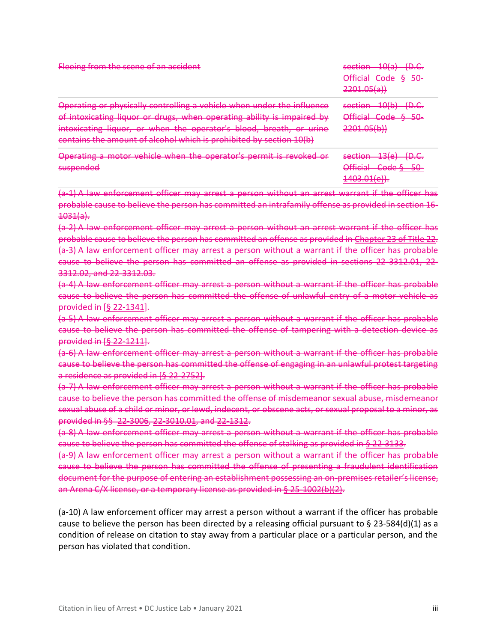| Fleeing from the scene of an accident                                                                                                                                                                                                                                                          | 10(n)<br>$\sqrt{2}$<br>coction<br><del>sceuon</del><br>ਤਾਰਾ<br>⊃.<br>Official Code<br>50.<br><del>omar</del><br><del>couc</del><br>᠊ᠣᠣ<br>2201.05(a)                           |
|------------------------------------------------------------------------------------------------------------------------------------------------------------------------------------------------------------------------------------------------------------------------------------------------|--------------------------------------------------------------------------------------------------------------------------------------------------------------------------------|
| Operating or physically controlling a vehicle when under the influence<br>of intoxicating liquor or drugs, when operating ability is impaired by<br>intoxicating liquor, or when the operator's blood, breath, or urine<br>contains the amount of alcohol which is prohibited by section 10(b) | 10/h<br>$\cap$ $\cap$<br>coction<br><del>sceuon</del><br><del>w.c.</del><br>ᠴᠦᡉ᠇<br>Official Code<br>8 50.<br><del>omaa couc</del><br><del>JU</del><br>2201.05(b)              |
| Operating a motor vehicle when the operator's permit is revoked or<br><del>operating a motor</del><br><b>CUCHANDO</b><br><del>Juspenueu</del>                                                                                                                                                  | 12(a)<br>$n \cap$<br>caction<br><del>Jechon</del><br>⊃.<br>ᠴᠵᡊ<br>∩fficial<br>Cadab<br>50.<br>᠊ᢦᠣ<br>णाणजन<br><del>couc s</del><br>1403.01 $\alpha$<br><del>1403.011077.</del> |

(a-1) A law enforcement officer may arrest a person without an arrest warrant if the officer has probable cause to believe the person has committed an intrafamily offense as provided in section 16- 1031(a).

(a-2) A law enforcement officer may arrest a person without an arrest warrant if the officer has probable cause to believe the person has committed an offense as provided in [Chapter 23 of Title 22.](https://code.dccouncil.us/dc/council/code/titles/22/chapters/23/) (a-3) A law enforcement officer may arrest a person without a warrant if the officer has probable cause to believe the person has committed an offense as provided in sections 22-3312.01, 22- 3312.02, and 22-3312.03.

(a-4) A law enforcement officer may arrest a person without a warrant if the officer has probable cause to believe the person has committed the offense of unlawful entry of a motor vehicle as provided in [\[§ 22-1341\]](https://code.dccouncil.us/dc/council/code/sections/22-1341.html).

(a-5) A law enforcement officer may arrest a person without a warrant if the officer has probable cause to believe the person has committed the offense of tampering with a detection device as provided in [\[§ 22-1211\]](https://code.dccouncil.us/dc/council/code/sections/22-1211.html).

(a-6) A law enforcement officer may arrest a person without a warrant if the officer has probable cause to believe the person has committed the offense of engaging in an unlawful protest targeting a residence as provided in [\[§ 22-2752\]](https://code.dccouncil.us/dc/council/code/sections/22-2752.html).

(a-7) A law enforcement officer may arrest a person without a warrant if the officer has probable cause to believe the person has committed the offense of misdemeanor sexual abuse, misdemeanor sexual abuse of a child or minor, or lewd, indecent, or obscene acts, or sexual proposal to a minor, as provided in §§ [22-3006,](https://code.dccouncil.us/dc/council/code/sections/22-3006.html) [22-3010.01,](https://code.dccouncil.us/dc/council/code/sections/22-3010.01.html) and [22-1312.](https://code.dccouncil.us/dc/council/code/sections/22-1312.html)

(a-8) A law enforcement officer may arrest a person without a warrant if the officer has probable cause to believe the person has committed the offense of stalking as provided in [§ 22-3133.](https://code.dccouncil.us/dc/council/code/sections/22-3133.html)

(a-9) A law enforcement officer may arrest a person without a warrant if the officer has probable cause to believe the person has committed the offense of presenting a fraudulent identification document for the purpose of entering an establishment possessing an on-premises retailer's license, an Arena C/X license, or a temporary license as provided in [§ 25-1002\(b\)\(2\).](https://code.dccouncil.us/dc/council/code/sections/25-1002.html#(b)(2))

(a-10) A law enforcement officer may arrest a person without a warrant if the officer has probable cause to believe the person has been directed by a releasing official pursuant to § 23-584(d)(1) as a condition of release on citation to stay away from a particular place or a particular person, and the person has violated that condition.